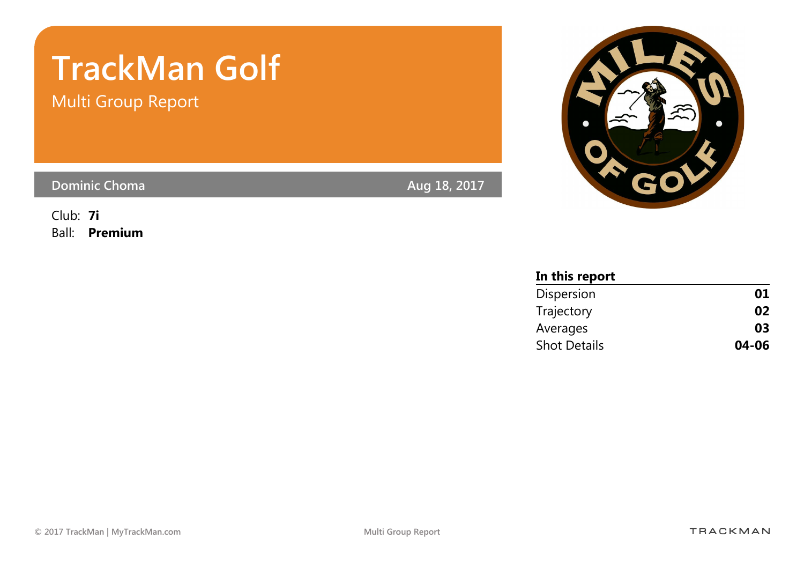# TrackMan Golf

Multi Group Report

Dominic Choma **Aug 18, 2017** 

Club: 7i Ball: Premium



| In this report      |       |
|---------------------|-------|
| Dispersion          | 01    |
| Trajectory          | 02    |
| Averages            | 03    |
| <b>Shot Details</b> | 04-06 |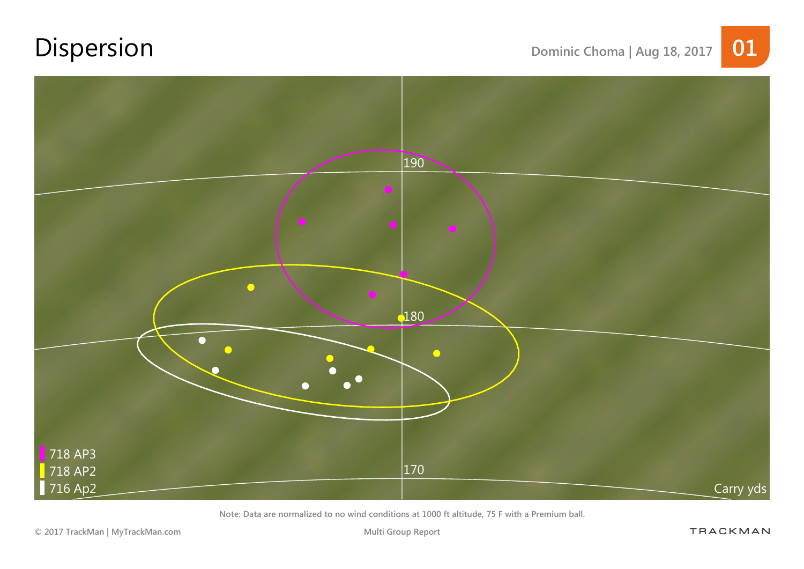# Dispersion Dominic Choma | Aug 18, 2017 01



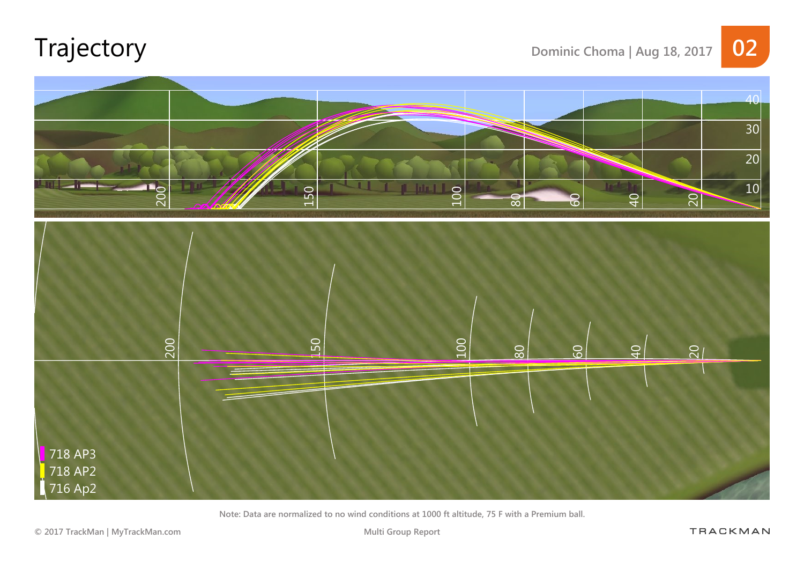# Trajectory Dominic Choma | Aug 18, 2017 02



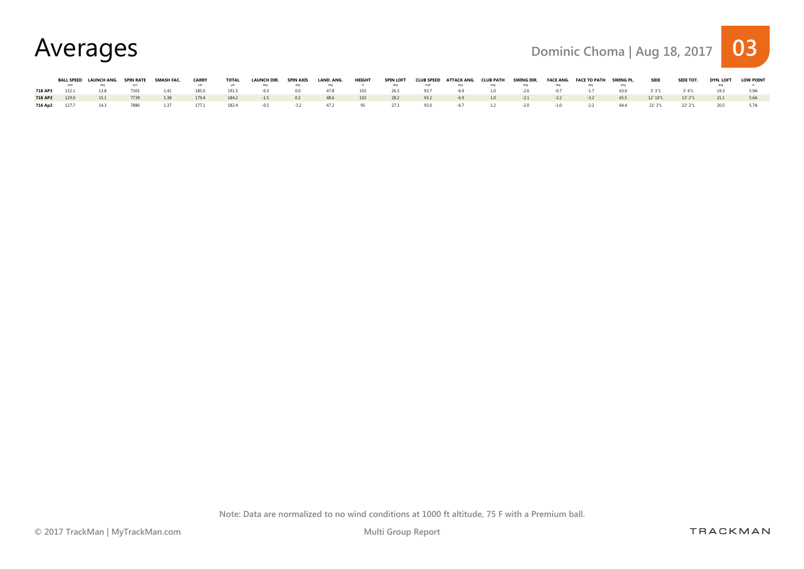Averages Dominic Choma | Aug 18, 2017 03

|         | BALL SPEED LAUNCH ANG. SPIN RATE |      | SMASH FAC. | <b>CARRY</b> | <b>TOTAL</b> | LAUNCH DIR. | SPIN AXIS | LAND. ANG. | HEIGHT | SPIN LOFT |      | CLUB SPEED ATTACK ANG. CLUB PATH |     | SWING DIR. |        | FACE ANG. FACE TO PATH SWING PL. |      | <b>SIDE</b> | SIDE TOT. | DYN. LOFT | <b>LOW POINT</b> |
|---------|----------------------------------|------|------------|--------------|--------------|-------------|-----------|------------|--------|-----------|------|----------------------------------|-----|------------|--------|----------------------------------|------|-------------|-----------|-----------|------------------|
|         |                                  |      |            |              |              |             |           |            |        |           |      |                                  |     |            |        |                                  |      |             |           |           |                  |
| 718 AP3 | 13.8                             | 7301 | 141        | 185.6        | 191.5        | $-0.5$      | 0.0       | 478        | 101    | 26.3      | 93.7 | -69                              | 1.0 | $-26$      |        | $-1/$                            | 630  | 3' 3"L      | 3' 4"I    |           |                  |
| 718 AP2 | 151                              | 7739 | 1.38       | 179.4        | 184.2        | $-1.5$      | 0.2       | 48.6       | 102    | 28.2      | 932  | $-69$                            | 1.0 | $-2.1$     | $-2.2$ | $-3.2$                           | 65.5 | 12' 10"L    | 13' 2"L   | 21.1      |                  |
| 716 Ap2 | 143                              | 7886 | 1.37       | 177.1        | 182.4        | $-0.5$      | $-3.2$    | 47.2       |        | 27.3      | 93.0 | $-67$                            | 1.2 | $-2.0$     | $-1.0$ | $-2.2$                           | 64.4 | 21' 3"L     | 22' 2"L   |           |                  |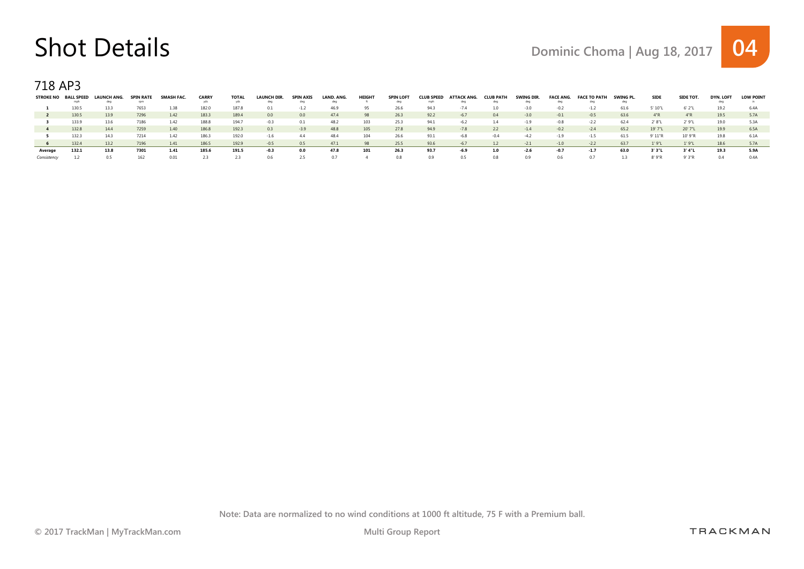## Shot Details Details Dominic Choma | Aug 18, 2017 04

718 AP3

| <b>STROKE NO</b> | <b>BALL SPEED</b><br>mph | <b>LAUNCH ANG</b><br>dec | <b>SPIN RATE</b><br>rnn | SMASH FAC | <b>CARRY</b><br>vds | <b>TOTAL</b><br>vo | <b>LAUNCH DIR.</b><br>dea | <b>SPIN AXIS</b><br>dea | LAND, ANG.<br>deq | <b>HEIGHT</b> | <b>SPIN LOFT</b><br>dea | <b>CLUB SPEED</b><br>mnh | <b>ATTACK ANG</b><br>dea | <b>CLUB PATH</b><br>dea | <b>SWING DIR</b><br>dec | <b>FACE ANG.</b><br>dec | <b>FACE TO PAT</b><br>dec | SWING PL | <b>SIDE</b> | SIDE TOT. | DYN, LOF | <b>LOW POINT</b> |
|------------------|--------------------------|--------------------------|-------------------------|-----------|---------------------|--------------------|---------------------------|-------------------------|-------------------|---------------|-------------------------|--------------------------|--------------------------|-------------------------|-------------------------|-------------------------|---------------------------|----------|-------------|-----------|----------|------------------|
|                  | 130.5                    | 13.3                     |                         | 1.38      | 182.0               | 187.8              |                           |                         | 46.9              | 95            | 26.6                    | 94.3                     | -74                      |                         | -3.0                    | $-0.2$                  | $-1.2$                    | 61.6     | 5' 10"L     | 6'2"L     | 19.2     | 6.4A             |
|                  | 130.5                    | 13.9                     | 7296                    | 1.42      | 183.3               | 189.4              | 0.0                       | 0.0                     | 47.4              | 98            | 26.3                    | 92.2                     | $-67$                    | 0.4                     | $-3.0$                  | $-0.1$                  | $-0.5$                    | 63.6     | 4"R         | 4"R       | 19.5     | 5.7A             |
|                  | 133.9                    |                          | 186                     | 1.42      | 188.8               | 194.               |                           |                         | 48.2              | 103           | 25.3                    | 94.1                     |                          | 14                      |                         | -0.8                    | $-2.2$                    | 62.4     | 2' 8"L      | 2'9"L     | 19.0     | 5.3A             |
|                  | 132.8                    | 14.4                     | 7259                    | 1.40      | 186.8               | 192.3              | 0.3                       | $-3.9$                  | 48.8              | 105           | 27.8                    | 94.9                     | -7.8                     | 2.2                     | $-14$                   | $-0.2$                  | $-2.4$                    | 65.2     | 19' 7"L     | 20' 7"L   | 19.9     | 6.5A             |
|                  | 132.3                    | 14.3                     |                         | 142       | 186.3               | 192.0              | $-1.6$                    |                         | 48.4              | 104           | 26.6                    | 93.1                     |                          |                         |                         |                         | $-1.5$                    | 61.5     | 9' 11"R     | 10' 9"R   | 19.8     | 6.1A             |
|                  | 132.4                    | 13.2                     | 7196                    | 1.41      | 186.5               | 192.9              | $-0.5$                    | 0.5                     | 47.1              | 98            | 25.5                    | 93.6                     | $-67$                    | 1.2                     | $-2.1$                  | $-1.0$                  | $-2.2$                    | 63.7     | 1'9"L       | 1'9''L    | 18.6     | 5.7A             |
| Average          | 132.1                    | 13.8                     | 7301                    | 1.41      | 185.6               | 191.5              | -0.3                      | 0.0                     | 47.8              | 101           | 26.3                    | 93.7                     | -6.9                     | 1.0                     | -2.6                    | -0.                     | $-1.7$                    | 63.0     | 3' 3"L      | 3' 4"L    | 19.3     | 5.9A             |
|                  |                          |                          |                         | 0.01      |                     | 2.3                | U.6                       | 2.5                     |                   |               |                         | 0.9                      | 0.5                      | 0.8                     |                         |                         |                           |          | 8'9''R      | 9' 3"R    |          | 0 4 A            |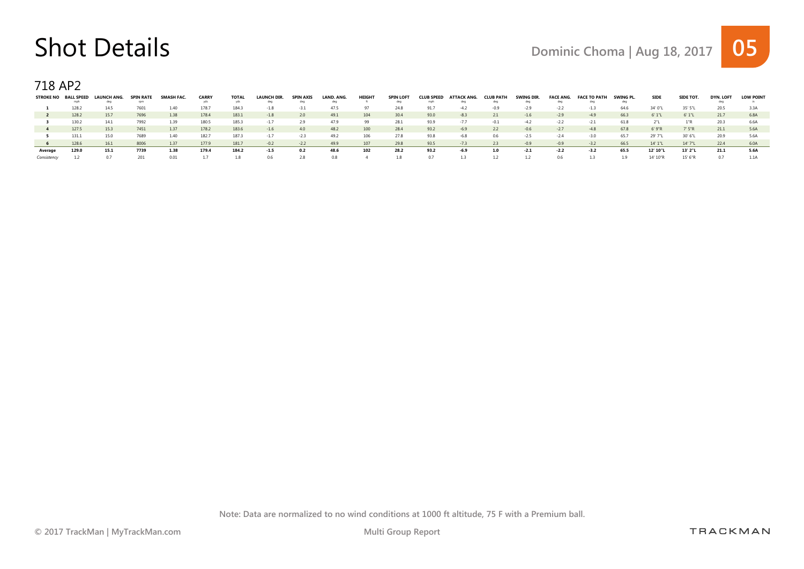## Shot Details Details Dominic Choma | Aug 18, 2017 05

718 AP2

| STROKE NO BALL SPEED | mph   | <b>LAUNCH ANG.</b> | SPIN RATE | <b>SMASH FAC.</b> | <b>CARRY</b> | <b>TOTAL</b> | LAUNCH DIR. | SPIN AXIS<br>dea | LAND, ANG.<br>deg | HEIGHT | <b>SPIN LOFT</b> | <b>CLUB SPEED</b> | ATTACK ANG. | <b>CLUB PATH</b><br>dea | SWING DIR. | <b>FACE ANG.</b> | <b>FACE TO PATH</b> | SWING PL. | <b>SIDE</b> | SIDE TOT. | <b>DYN, LOFT</b> | <b>LOW POINT</b> |
|----------------------|-------|--------------------|-----------|-------------------|--------------|--------------|-------------|------------------|-------------------|--------|------------------|-------------------|-------------|-------------------------|------------|------------------|---------------------|-----------|-------------|-----------|------------------|------------------|
|                      | 128.2 | 14.5               |           | 1.40              | 178.7        | 184.3        | $-1.8$      | -3.1             | 47.5              |        |                  | 91.7              | -4 7        | -0.9                    |            | $-2.2$           | $-1.3$              | 64.6      | 34' 0"1     | 35' 5"L   | 20.5             | 3.3A             |
|                      | 128.2 | 15.7               | 7696      | 1.38              | 178.4        | 183.1        | $-1.8$      | 2.0              | 49.1              | 104    | 30.4             | 93.0              | $-8.3$      | 2.1                     | $-1.6$     | $-2.9$           | $-49$               | 66.3      | 6'1"L       | 6'1"L     | 21.7             | 6.8A             |
|                      | 130.2 | 14.1               | 7992      | 1.39              | 180.5        | 185.3        |             | 2.9              | 47.9              | 99     | 28.1             | 93.9              | $-7.7$      |                         | $-4.2$     | $-2.2$           | $-2.1$              | 61.8      |             | 1"R       | 20.3             | 6.6A             |
|                      | 127.5 | 15.3               | 7451      | 1.37              | 178.2        | 183.6        | $-1.6$      | 40               | 48.2              | 100    | 28.4             | 93.2              | $-6.9$      | 2.2                     | $-0.6$     | $-27$            | $-4.8$              | 67.8      | 6'9''R      | 7'5"R     | 21.1             | 5.6A             |
|                      | 131.1 | 15.0               | 7689      | 140               | 182.7        | 187.3        |             |                  | 49.2              | 106    | 27.8             | 93.8              | -6.8        | 0.6                     | -25        |                  | -3.0                | 65.7      | 29' 7"L     | 30' 6"L   | 20.9             | 5.6A             |
| -6                   | 128.6 | 16.1               | 8006      | 1.37              | 177.9        | 181.7        | $-0.2$      | $-2.2$           | 49.9              | 107    | 29.8             | 93.5              | $-7.3$      | 2.3                     | $-0.9$     | $-0.9$           | $-3.2$              | 66.5      | 14' 1"L     | 14' 7"L   | 22.4             | 6.0A             |
| Average              | 129.0 | 15.1               | 7739      | 1.38              | 179.4        | 184.2        | $-1.5$      | 0.2              | 48.6              | 102    | 28.2             | 93.2              | -6.9        | 1.0                     | $-2.1$     | $-2.2$           | $-3.2$              | 65.5      | 12' 10"     | 13' 2"L   | 21.1             | 5.6A             |
|                      |       |                    |           | 0.01              |              | 1.8          | IJЬ         |                  | 0.8               |        |                  | 0.7               |             |                         |            | 06               |                     |           | 14' 10"F    | 15' 6"P   |                  |                  |